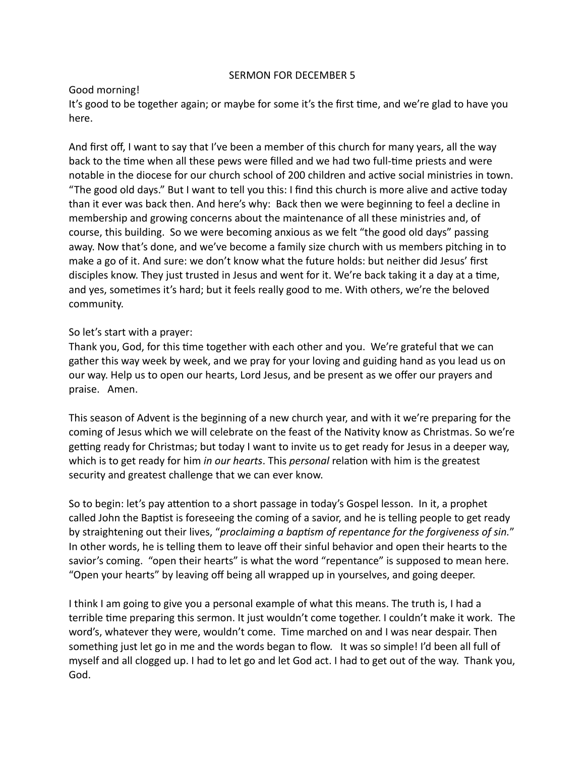## SERMON FOR DECEMBER 5

## Good morning!

It's good to be together again; or maybe for some it's the first time, and we're glad to have you here.

And first off, I want to say that I've been a member of this church for many years, all the way back to the time when all these pews were filled and we had two full-time priests and were notable in the diocese for our church school of 200 children and active social ministries in town. "The good old days." But I want to tell you this: I find this church is more alive and active today than it ever was back then. And here's why: Back then we were beginning to feel a decline in membership and growing concerns about the maintenance of all these ministries and, of course, this building. So we were becoming anxious as we felt "the good old days" passing away. Now that's done, and we've become a family size church with us members pitching in to make a go of it. And sure: we don't know what the future holds: but neither did Jesus' first disciples know. They just trusted in Jesus and went for it. We're back taking it a day at a time, and yes, sometimes it's hard; but it feels really good to me. With others, we're the beloved community.

## So let's start with a prayer:

Thank you, God, for this time together with each other and you. We're grateful that we can gather this way week by week, and we pray for your loving and guiding hand as you lead us on our way. Help us to open our hearts, Lord Jesus, and be present as we offer our prayers and praise. Amen.

This season of Advent is the beginning of a new church year, and with it we're preparing for the coming of Jesus which we will celebrate on the feast of the Nativity know as Christmas. So we're getting ready for Christmas; but today I want to invite us to get ready for Jesus in a deeper way, which is to get ready for him *in our hearts*. This *personal* relation with him is the greatest security and greatest challenge that we can ever know.

So to begin: let's pay attention to a short passage in today's Gospel lesson. In it, a prophet called John the Baptist is foreseeing the coming of a savior, and he is telling people to get ready by straightening out their lives, "*proclaiming a baptism of repentance for the forgiveness of sin."* In other words, he is telling them to leave off their sinful behavior and open their hearts to the savior's coming. "open their hearts" is what the word "repentance" is supposed to mean here. "Open your hearts" by leaving off being all wrapped up in yourselves, and going deeper.

I think I am going to give you a personal example of what this means. The truth is, I had a terrible time preparing this sermon. It just wouldn't come together. I couldn't make it work. The word's, whatever they were, wouldn't come. Time marched on and I was near despair. Then something just let go in me and the words began to flow. It was so simple! I'd been all full of myself and all clogged up. I had to let go and let God act. I had to get out of the way. Thank you, God.